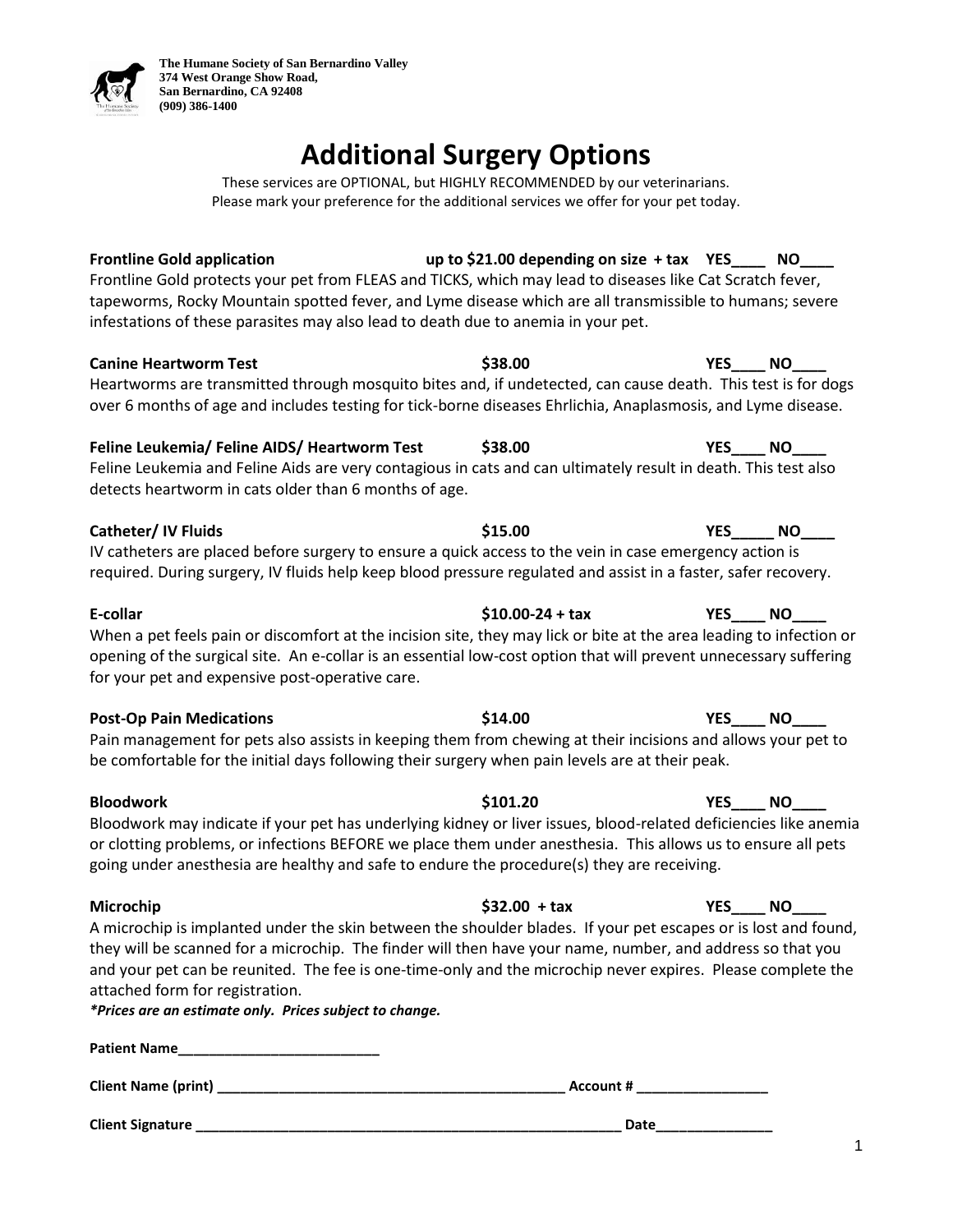

# **Additional Surgery Options**

These services are OPTIONAL, but HIGHLY RECOMMENDED by our veterinarians. Please mark your preference for the additional services we offer for your pet today.

**Frontline Gold application up to \$21.00 depending on size + tax YES\_\_\_\_ NO\_\_\_\_** Frontline Gold protects your pet from FLEAS and TICKS, which may lead to diseases like Cat Scratch fever, tapeworms, Rocky Mountain spotted fever, and Lyme disease which are all transmissible to humans; severe infestations of these parasites may also lead to death due to anemia in your pet. **Canine Heartworm Test \$38.00 YES\_\_\_\_ NO\_\_\_\_** Heartworms are transmitted through mosquito bites and, if undetected, can cause death. This test is for dogs over 6 months of age and includes testing for tick-borne diseases Ehrlichia, Anaplasmosis, and Lyme disease. **Feline Leukemia/ Feline AIDS/ Heartworm Test \$38.00 YES\_\_\_\_ NO\_\_\_\_** Feline Leukemia and Feline Aids are very contagious in cats and can ultimately result in death. This test also detects heartworm in cats older than 6 months of age. **Catheter/ IV Fluids \$15.00 YES\_\_\_\_\_ NO\_\_\_\_** IV catheters are placed before surgery to ensure a quick access to the vein in case emergency action is required. During surgery, IV fluids help keep blood pressure regulated and assist in a faster, safer recovery. **E-collar \$10.00-24 + tax YES\_\_\_\_ NO\_\_\_\_** When a pet feels pain or discomfort at the incision site, they may lick or bite at the area leading to infection or opening of the surgical site. An e-collar is an essential low-cost option that will prevent unnecessary suffering for your pet and expensive post-operative care. **Post-Op Pain Medications \$14.00 YES\_\_\_\_ NO\_\_\_\_**  Pain management for pets also assists in keeping them from chewing at their incisions and allows your pet to be comfortable for the initial days following their surgery when pain levels are at their peak. **Bloodwork \$101.20 YES\_\_\_\_ NO\_\_\_\_** Bloodwork may indicate if your pet has underlying kidney or liver issues, blood-related deficiencies like anemia or clotting problems, or infections BEFORE we place them under anesthesia. This allows us to ensure all pets going under anesthesia are healthy and safe to endure the procedure(s) they are receiving. **Microchip \$32.00 + tax YES\_\_\_\_ NO\_\_\_\_** A microchip is implanted under the skin between the shoulder blades. If your pet escapes or is lost and found, they will be scanned for a microchip. The finder will then have your name, number, and address so that you and your pet can be reunited. The fee is one-time-only and the microchip never expires. Please complete the attached form for registration. *\*Prices are an estimate only. Prices subject to change.*  **Patient Name\_\_\_\_\_\_\_\_\_\_\_\_\_\_\_\_\_\_\_\_\_\_\_\_\_\_**

**Client Name (print) \_\_\_\_\_\_\_\_\_\_\_\_\_\_\_\_\_\_\_\_\_\_\_\_\_\_\_\_\_\_\_\_\_\_\_\_\_\_\_\_\_\_\_\_\_ Account # \_\_\_\_\_\_\_\_\_\_\_\_\_\_\_\_\_**

**Client Signature** *Date*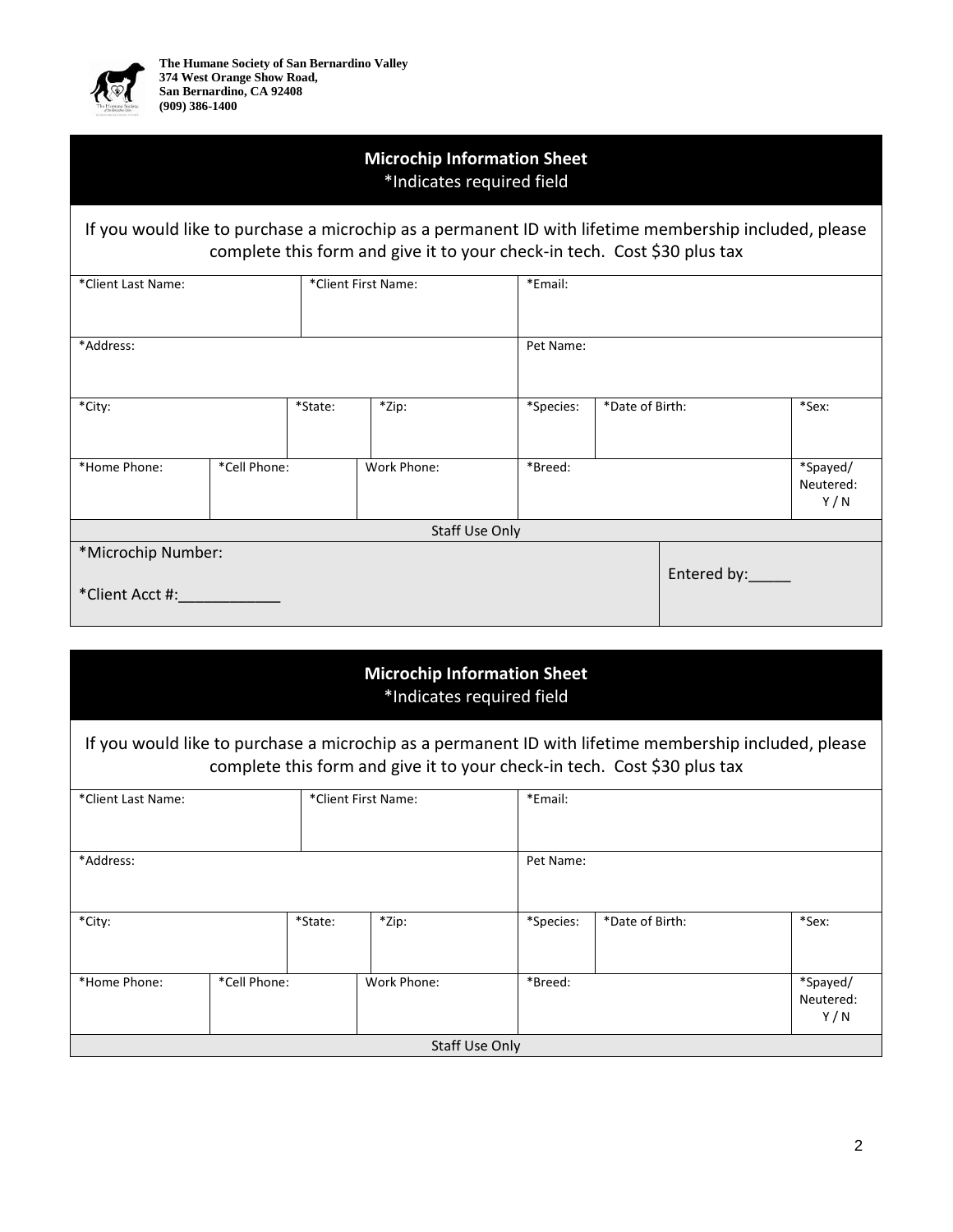

## **Microchip Information Sheet** \*Indicates required field

### If you would like to purchase a microchip as a permanent ID with lifetime membership included, please complete this form and give it to your check-in tech. Cost \$30 plus tax

| *Client Last Name:                    | *Client First Name: |           | *Email:     |           |                 |  |                              |  |  |  |
|---------------------------------------|---------------------|-----------|-------------|-----------|-----------------|--|------------------------------|--|--|--|
| *Address:                             |                     | Pet Name: |             |           |                 |  |                              |  |  |  |
| *City:                                |                     | *State:   | *Zip:       | *Species: | *Date of Birth: |  | *Sex:                        |  |  |  |
| *Home Phone:                          | *Cell Phone:        |           | Work Phone: | *Breed:   |                 |  | *Spayed/<br>Neutered:<br>Y/N |  |  |  |
| Staff Use Only                        |                     |           |             |           |                 |  |                              |  |  |  |
| *Microchip Number:<br>*Client Acct #: | Entered by:         |           |             |           |                 |  |                              |  |  |  |

## **Microchip Information Sheet** \*Indicates required field

If you would like to purchase a microchip as a permanent ID with lifetime membership included, please complete this form and give it to your check-in tech. Cost \$30 plus tax

| *Client Last Name: |              | *Client First Name: |             | *Email:   |                 |                              |  |  |  |
|--------------------|--------------|---------------------|-------------|-----------|-----------------|------------------------------|--|--|--|
| *Address:          |              |                     |             |           | Pet Name:       |                              |  |  |  |
| *City:             |              | *State:             | *Zip:       | *Species: | *Date of Birth: | *Sex:                        |  |  |  |
| *Home Phone:       | *Cell Phone: |                     | Work Phone: | *Breed:   |                 | *Spayed/<br>Neutered:<br>Y/N |  |  |  |
| Staff Use Only     |              |                     |             |           |                 |                              |  |  |  |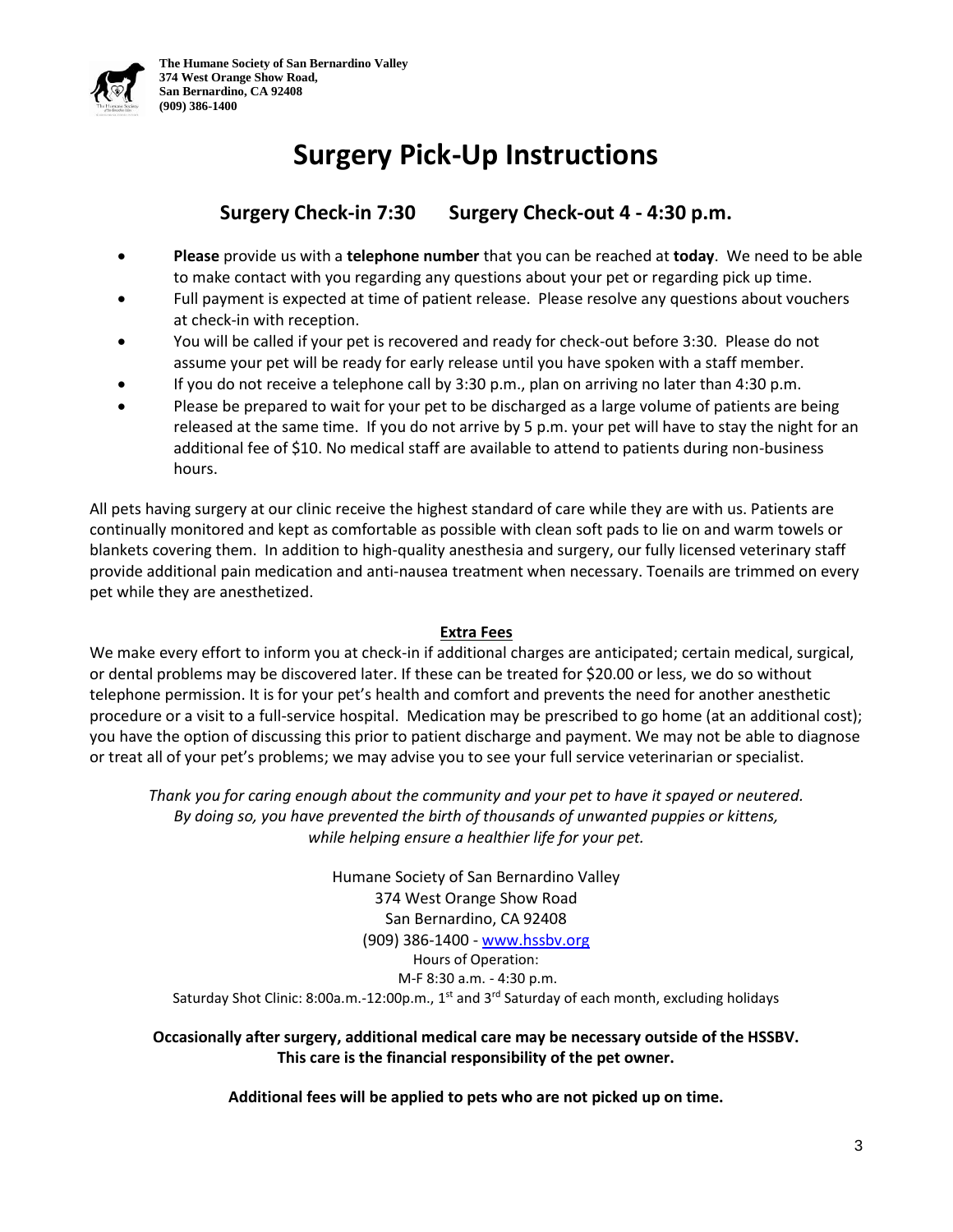# **Surgery Pick-Up Instructions**

# **Surgery Check-in 7:30 Surgery Check-out 4 - 4:30 p.m.**

- **Please** provide us with a **telephone number** that you can be reached at **today**. We need to be able to make contact with you regarding any questions about your pet or regarding pick up time.
- Full payment is expected at time of patient release. Please resolve any questions about vouchers at check-in with reception.
- You will be called if your pet is recovered and ready for check-out before 3:30. Please do not assume your pet will be ready for early release until you have spoken with a staff member.
- If you do not receive a telephone call by 3:30 p.m., plan on arriving no later than 4:30 p.m.
- Please be prepared to wait for your pet to be discharged as a large volume of patients are being released at the same time. If you do not arrive by 5 p.m. your pet will have to stay the night for an additional fee of \$10. No medical staff are available to attend to patients during non-business hours.

All pets having surgery at our clinic receive the highest standard of care while they are with us. Patients are continually monitored and kept as comfortable as possible with clean soft pads to lie on and warm towels or blankets covering them. In addition to high-quality anesthesia and surgery, our fully licensed veterinary staff provide additional pain medication and anti-nausea treatment when necessary. Toenails are trimmed on every pet while they are anesthetized.

#### **Extra Fees**

We make every effort to inform you at check-in if additional charges are anticipated; certain medical, surgical, or dental problems may be discovered later. If these can be treated for \$20.00 or less, we do so without telephone permission. It is for your pet's health and comfort and prevents the need for another anesthetic procedure or a visit to a full-service hospital. Medication may be prescribed to go home (at an additional cost); you have the option of discussing this prior to patient discharge and payment. We may not be able to diagnose or treat all of your pet's problems; we may advise you to see your full service veterinarian or specialist.

*Thank you for caring enough about the community and your pet to have it spayed or neutered. By doing so, you have prevented the birth of thousands of unwanted puppies or kittens, while helping ensure a healthier life for your pet.*

Humane Society of San Bernardino Valley 374 West Orange Show Road San Bernardino, CA 92408 (909) 386-1400 - [www.hssbv.org](http://www.hssbv.org/) Hours of Operation: M-F 8:30 a.m. - 4:30 p.m. Saturday Shot Clinic: 8:00a.m.-12:00p.m., 1<sup>st</sup> and 3<sup>rd</sup> Saturday of each month, excluding holidays

#### **Occasionally after surgery, additional medical care may be necessary outside of the HSSBV. This care is the financial responsibility of the pet owner.**

**Additional fees will be applied to pets who are not picked up on time.**